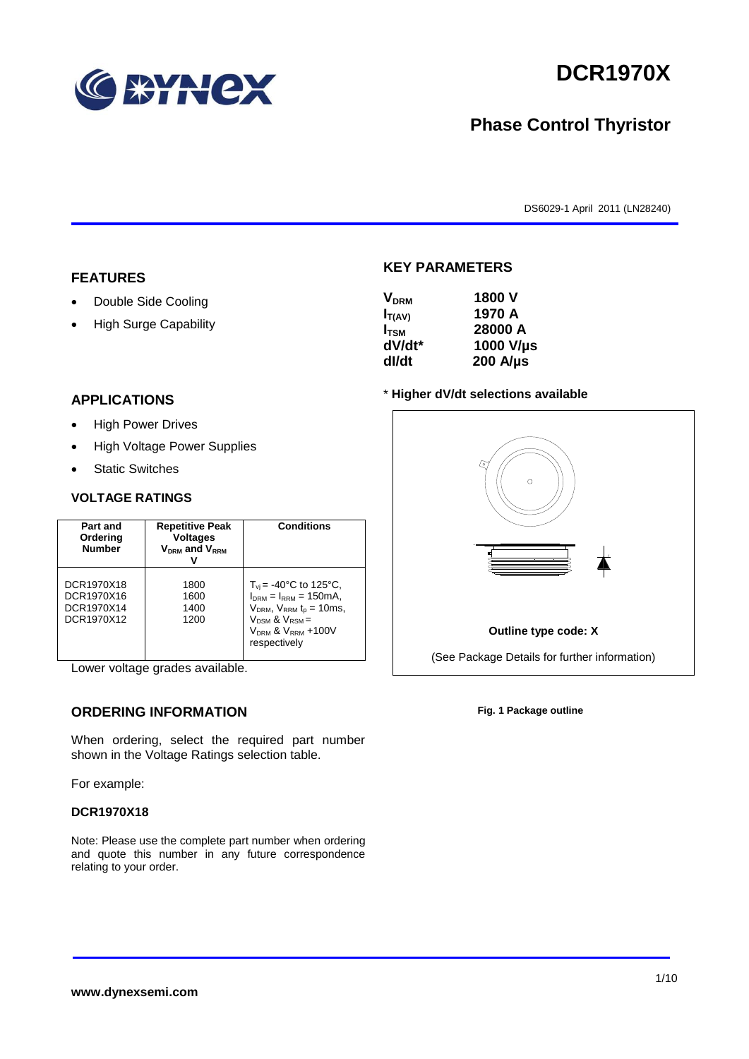

# **DCR1970X**

## **Phase Control Thyristor**

DS6029-1 April 2011 (LN28240)

#### **FEATURES**

- Double Side Cooling
- High Surge Capability

## **KEY PARAMETERS VDRM 1800 V**

| <b>V</b> <sub>DRM</sub> | 1800 V           |
|-------------------------|------------------|
| $I_{T(AV)}$             | 1970 A           |
| $I_{TSM}$               | 28000 A          |
| dV/dt*                  | 1000 V/µs        |
| dl/dt                   | $200$ A/ $\mu$ s |
|                         |                  |

#### **APPLICATIONS**

- High Power Drives
- High Voltage Power Supplies
- Static Switches

#### **VOLTAGE RATINGS**

| Part and<br>Ordering<br><b>Number</b>                | <b>Repetitive Peak</b><br><b>Voltages</b><br>$V_{DRM}$ and $V_{RRM}$ | <b>Conditions</b>                                                                                                                                                                                 |
|------------------------------------------------------|----------------------------------------------------------------------|---------------------------------------------------------------------------------------------------------------------------------------------------------------------------------------------------|
| DCR1970X18<br>DCR1970X16<br>DCR1970X14<br>DCR1970X12 | 1800<br>1600<br>1400<br>1200                                         | $T_{vi}$ = -40°C to 125°C,<br>$I_{DRM} = I_{RRM} = 150 \text{mA}$<br>$V_{DRM}$ , $V_{RRM}$ $t_p = 10$ ms,<br>$V_{DSM}$ & $V_{RSM}$ =<br>V <sub>DRM</sub> & V <sub>RRM</sub> +100V<br>respectively |

Lower voltage grades available.

#### **ORDERING INFORMATION**

When ordering, select the required part number shown in the Voltage Ratings selection table.

For example:

#### **DCR1970X18**

Note: Please use the complete part number when ordering and quote this number in any future correspondence relating to your order.

## \* **Higher dV/dt selections available**



**Fig. 1 Package outline**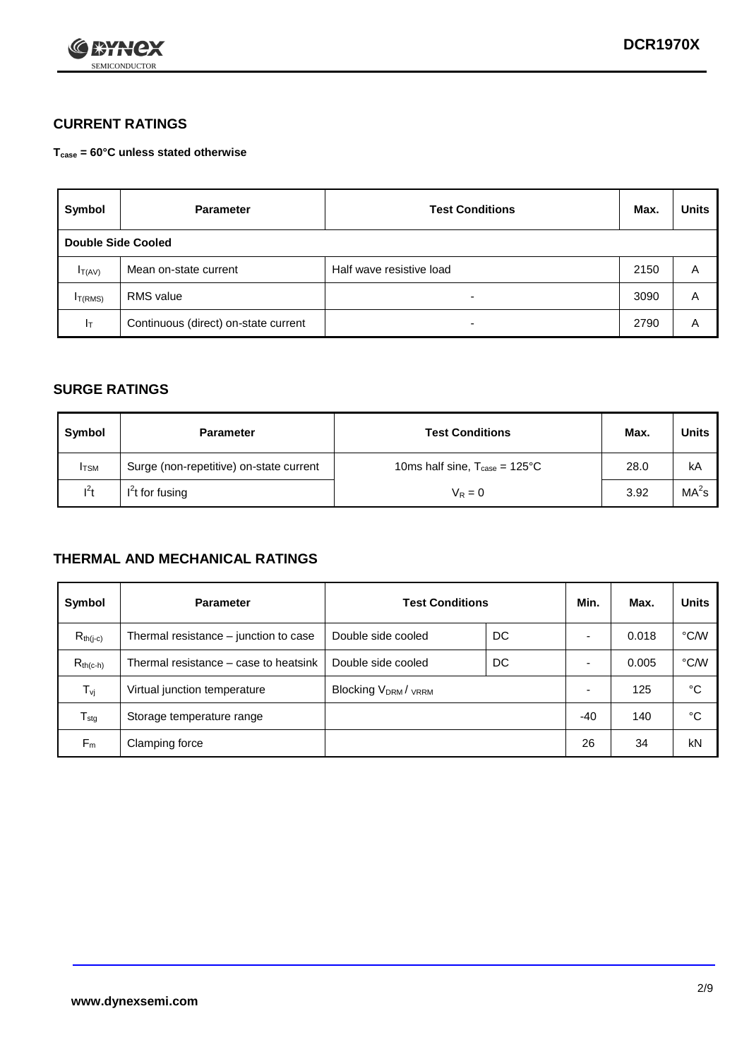

### **CURRENT RATINGS**

**Tcase = 60°C unless stated otherwise**

| Symbol             | <b>Parameter</b>                     | <b>Test Conditions</b>   | Max. | <b>Units</b> |
|--------------------|--------------------------------------|--------------------------|------|--------------|
| Double Side Cooled |                                      |                          |      |              |
| $I_{T(AV)}$        | Mean on-state current                | Half wave resistive load | 2150 | A            |
| $I_{T(RMS)}$       | RMS value                            | $\overline{\phantom{a}}$ | 3090 | Α            |
| Iт                 | Continuous (direct) on-state current | $\overline{\phantom{a}}$ | 2790 | Α            |

#### **SURGE RATINGS**

| Symbol       | <b>Parameter</b>                        | <b>Test Conditions</b>                            | Max. | <b>Units</b>      |
|--------------|-----------------------------------------|---------------------------------------------------|------|-------------------|
| <b>I</b> TSM | Surge (non-repetitive) on-state current | 10ms half sine, $T_{\text{case}} = 125^{\circ}$ C | 28.0 | kA                |
| $l^2t$       | $I2t$ for fusing                        | $V_R = 0$                                         | 3.92 | MA <sup>2</sup> s |

#### **THERMAL AND MECHANICAL RATINGS**

| Symbol           | <b>Parameter</b>                      | <b>Test Conditions</b>    |    | Min.  | Max.  | <b>Units</b> |
|------------------|---------------------------------------|---------------------------|----|-------|-------|--------------|
| $R_{th(j-c)}$    | Thermal resistance – junction to case | Double side cooled        | DC |       | 0.018 | °C/W         |
| $R_{th(c-h)}$    | Thermal resistance – case to heatsink | Double side cooled        | DC |       | 0.005 | °C/W         |
| $T_{\nu j}$      | Virtual junction temperature          | <b>Blocking VDRM/VRRM</b> |    |       | 125   | °C           |
| $T_{\text{stg}}$ | Storage temperature range             |                           |    | $-40$ | 140   | °C           |
| $F_m$            | Clamping force                        |                           |    | 26    | 34    | kN           |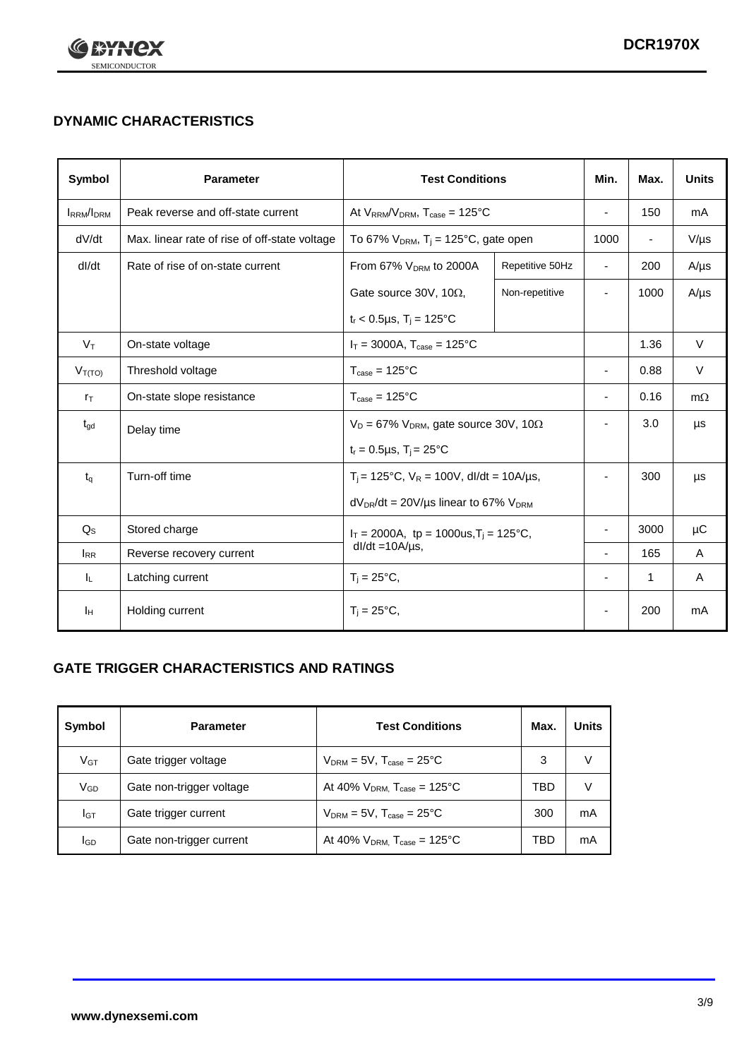

## **DYNAMIC CHARACTERISTICS**

| <b>Symbol</b>     | <b>Parameter</b>                              | <b>Test Conditions</b>                                                |                 | Min.                     | Max.                     | <b>Units</b> |
|-------------------|-----------------------------------------------|-----------------------------------------------------------------------|-----------------|--------------------------|--------------------------|--------------|
| <b>IRRM</b> /IDRM | Peak reverse and off-state current            | At $V_{RRM}/V_{DRM}$ , $T_{case} = 125^{\circ}C$                      |                 | $\blacksquare$           | 150                      | mA           |
| dV/dt             | Max. linear rate of rise of off-state voltage | To 67% $V_{DRM}$ , T <sub>i</sub> = 125°C, gate open                  |                 | 1000                     | $\overline{\phantom{a}}$ | $V/\mu s$    |
| dl/dt             | Rate of rise of on-state current              | From 67% V <sub>DRM</sub> to 2000A                                    | Repetitive 50Hz | $\overline{\phantom{a}}$ | 200                      | $A/\mu s$    |
|                   |                                               | Gate source 30V, 10Ω,                                                 | Non-repetitive  | $\overline{\phantom{a}}$ | 1000                     | $A/\mu s$    |
|                   |                                               | $t_r$ < 0.5µs, $T_i$ = 125°C                                          |                 |                          |                          |              |
| $V_T$             | On-state voltage                              | $I_T = 3000A$ , $T_{case} = 125^{\circ}C$                             |                 |                          | 1.36                     | $\vee$       |
| $V_{T(TO)}$       | Threshold voltage                             | $T_{\text{case}} = 125^{\circ}C$                                      |                 | $\blacksquare$           | 0.88                     | $\vee$       |
| $r_{\text{T}}$    | On-state slope resistance                     | $T_{\text{case}} = 125^{\circ}C$                                      |                 | $\blacksquare$           | 0.16                     | $m\Omega$    |
| $t_{\rm gd}$      | Delay time                                    | $V_D = 67\%$ V <sub>DRM</sub> , gate source 30V, 10 $\Omega$          |                 | ٠                        | 3.0                      | μs           |
|                   |                                               | $t_r = 0.5 \mu s$ , $T_i = 25^{\circ}C$                               |                 |                          |                          |              |
| $t_q$             | Turn-off time                                 | $T_i$ = 125°C, $V_R$ = 100V, dl/dt = 10A/µs,                          |                 | $\overline{\phantom{a}}$ | 300                      | μs           |
|                   |                                               | $dV_{DR}/dt = 20V/\mu s$ linear to 67% $V_{DRM}$                      |                 |                          |                          |              |
| $Q_{\rm S}$       | Stored charge                                 | $I_T = 2000A$ , tp = 1000us, $T_i = 125$ °C,<br>$dl/dt = 10A/\mu s$ , |                 |                          | 3000                     | $\mu$ C      |
| $I_{RR}$          | Reverse recovery current                      |                                                                       |                 | $\blacksquare$           | 165                      | A            |
| ΙL.               | Latching current                              | $T_i = 25^{\circ}C$                                                   |                 | $\overline{\phantom{a}}$ | 1                        | Α            |
| Iн                | Holding current                               | $T_i = 25^{\circ}C,$                                                  |                 |                          | 200                      | mA           |

### **GATE TRIGGER CHARACTERISTICS AND RATINGS**

| Symbol          | <b>Parameter</b>         | <b>Test Conditions</b>                | Max. | Units |
|-----------------|--------------------------|---------------------------------------|------|-------|
| V <sub>GT</sub> | Gate trigger voltage     | $V_{DRM}$ = 5V, $T_{case}$ = 25°C     | 3    | V     |
| $V_{GD}$        | Gate non-trigger voltage | At 40% $V_{DRM}$ , $T_{case}$ = 125°C | TBD  | V     |
| Iст             | Gate trigger current     | $V_{DRM}$ = 5V, $T_{case}$ = 25°C     | 300  | mA    |
| <b>I</b> GD     | Gate non-trigger current | At 40% $V_{DRM}$ , $T_{case}$ = 125°C | TBD  | mA    |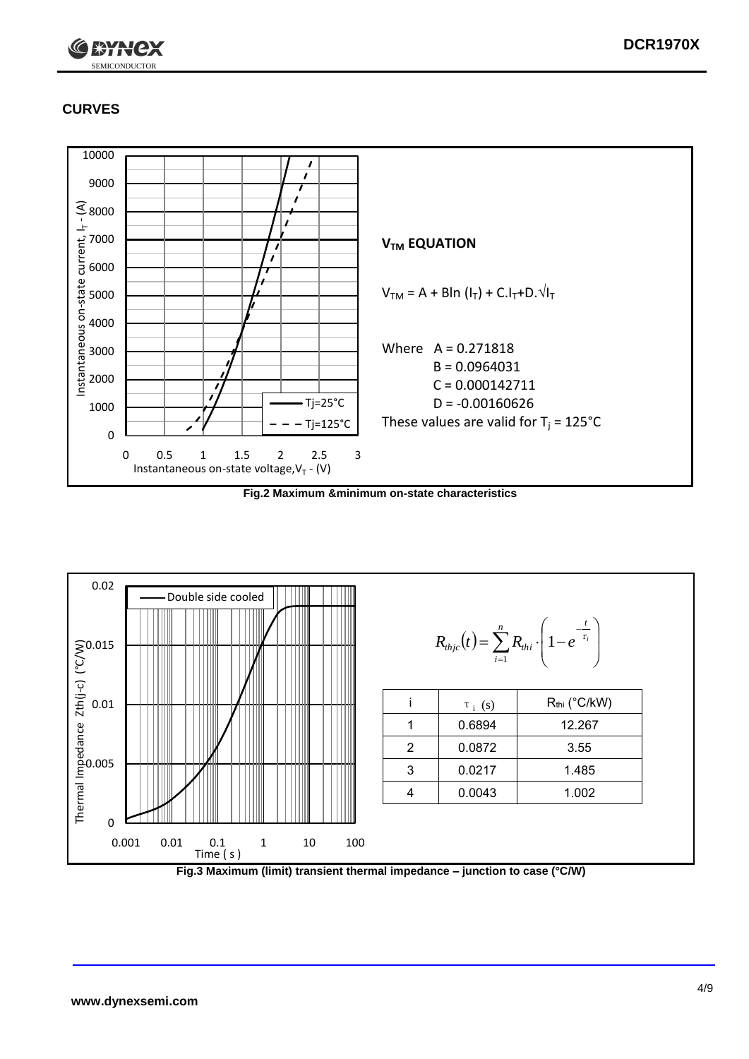

### **CURVES**



**Fig.2 Maximum &minimum on-state characteristics**



**Fig.3 Maximum (limit) transient thermal impedance – junction to case (°C/W)**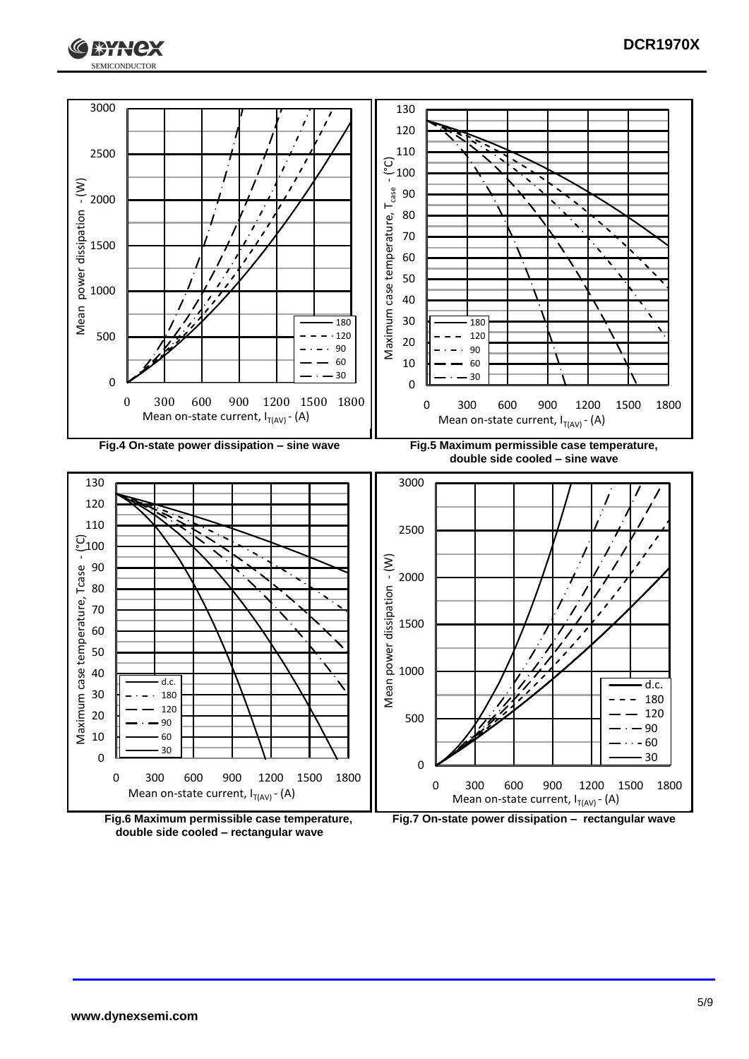



**double side cooled – rectangular wave**

**Fig.7 On-state power dissipation – rectangular wave**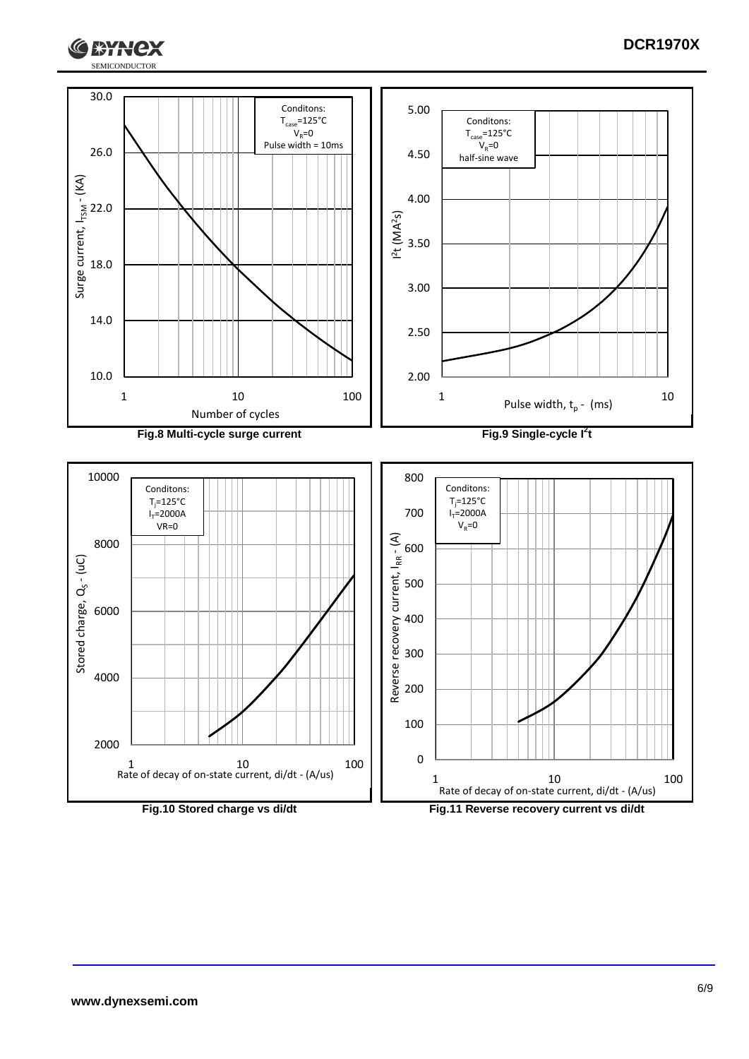

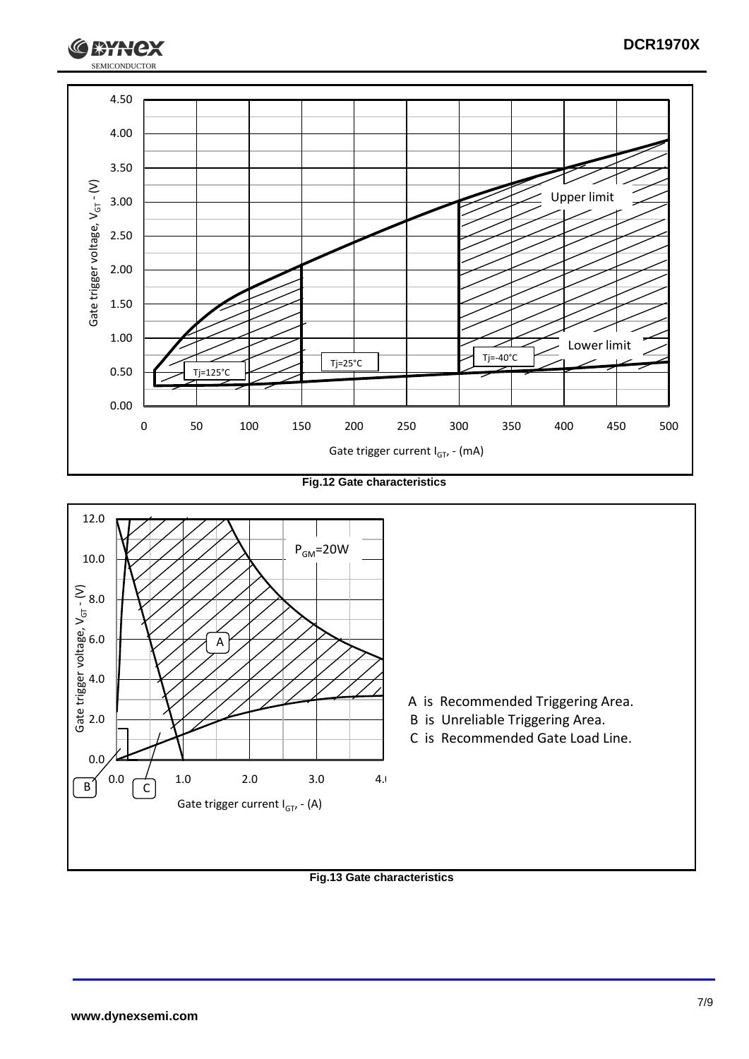

**Fig.12 Gate characteristics**



#### **Fig.13 Gate characteristics**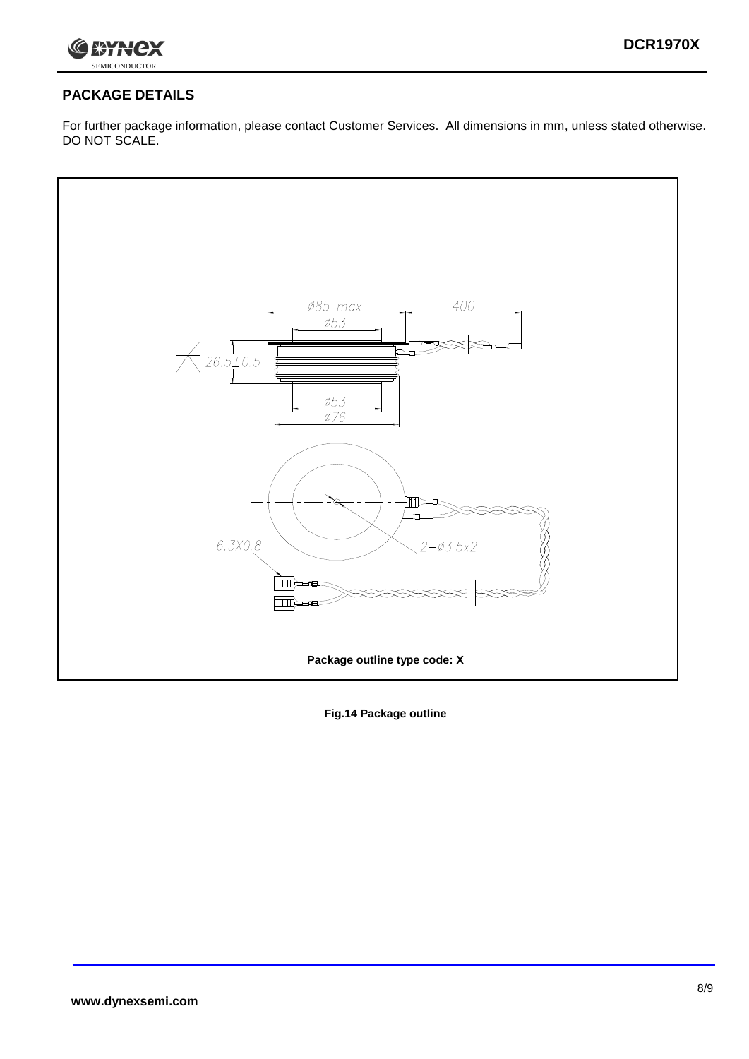

### **PACKAGE DETAILS**

For further package information, please contact Customer Services. All dimensions in mm, unless stated otherwise. DO NOT SCALE.



**Fig.14 Package outline**